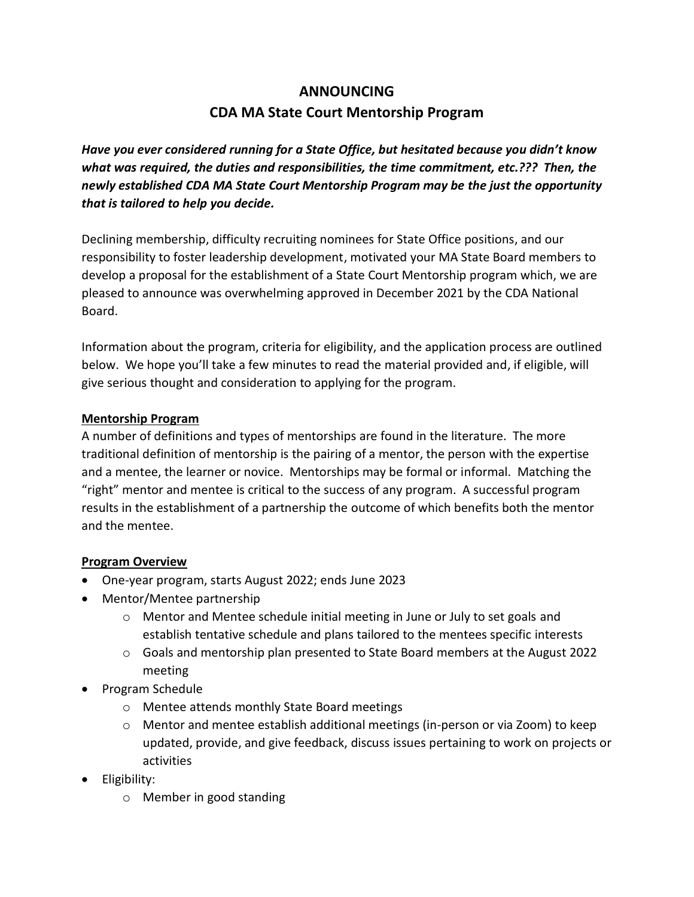# **ANNOUNCING CDA MA State Court Mentorship Program**

*Have you ever considered running for a State Office, but hesitated because you didn't know what was required, the duties and responsibilities, the time commitment, etc.??? Then, the newly established CDA MA State Court Mentorship Program may be the just the opportunity that is tailored to help you decide.* 

Declining membership, difficulty recruiting nominees for State Office positions, and our responsibility to foster leadership development, motivated your MA State Board members to develop a proposal for the establishment of a State Court Mentorship program which, we are pleased to announce was overwhelming approved in December 2021 by the CDA National Board.

Information about the program, criteria for eligibility, and the application process are outlined below. We hope you'll take a few minutes to read the material provided and, if eligible, will give serious thought and consideration to applying for the program.

### **Mentorship Program**

A number of definitions and types of mentorships are found in the literature. The more traditional definition of mentorship is the pairing of a mentor, the person with the expertise and a mentee, the learner or novice. Mentorships may be formal or informal. Matching the "right" mentor and mentee is critical to the success of any program. A successful program results in the establishment of a partnership the outcome of which benefits both the mentor and the mentee.

## **Program Overview**

- One-year program, starts August 2022; ends June 2023
- Mentor/Mentee partnership
	- o Mentor and Mentee schedule initial meeting in June or July to set goals and establish tentative schedule and plans tailored to the mentees specific interests
	- o Goals and mentorship plan presented to State Board members at the August 2022 meeting
- Program Schedule
	- o Mentee attends monthly State Board meetings
	- o Mentor and mentee establish additional meetings (in-person or via Zoom) to keep updated, provide, and give feedback, discuss issues pertaining to work on projects or activities
- Eligibility:
	- o Member in good standing